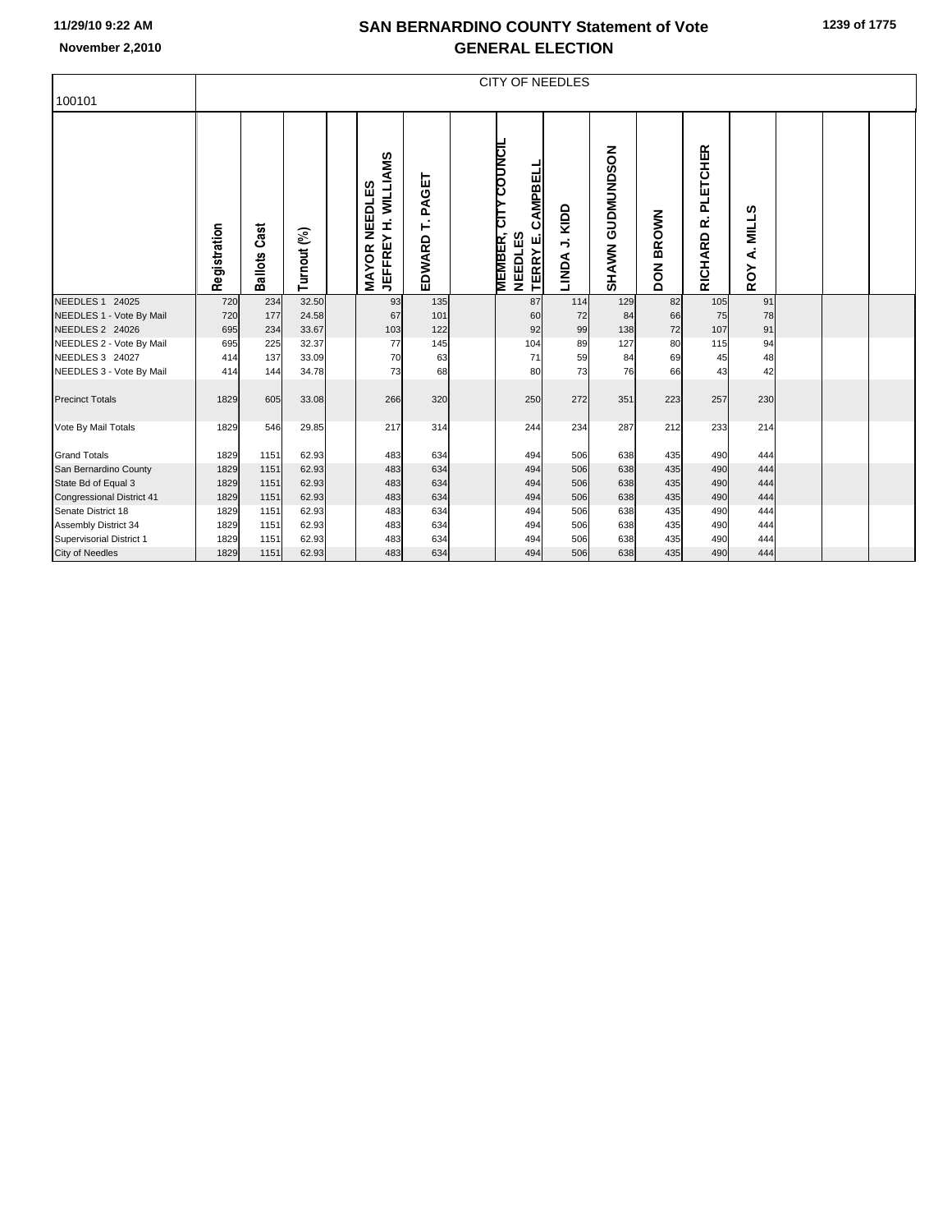## **SAN BERNARDINO COUNTY Statement of Vote November 2,2010 GENERAL ELECTION**

| 100101                           |              | <b>CITY OF NEEDLES</b> |             |  |                                                              |                      |  |                                                                                 |                    |                                   |                            |                          |                         |  |  |  |
|----------------------------------|--------------|------------------------|-------------|--|--------------------------------------------------------------|----------------------|--|---------------------------------------------------------------------------------|--------------------|-----------------------------------|----------------------------|--------------------------|-------------------------|--|--|--|
|                                  | Registration | Cast<br><b>Ballots</b> | Turnout (%) |  | <b>JEFFREY H. WILLIAMS</b><br><b>NEEDLES</b><br><b>MAYOR</b> | PAGET<br>É<br>EDWARD |  | <b>CITY COUNCIL</b><br>CAMPBELL<br>MEMBER,<br><b>NEEDLES</b><br><b>TERRY E.</b> | KIDD<br>⇒<br>LINDA | <b>GUDMUNDSON</b><br><b>SHAWN</b> | <b>BROWN</b><br><b>NOQ</b> | PLETCHER<br>œ<br>RICHARD | ဖာ<br>MILL:<br>ፈ<br>ROY |  |  |  |
| <b>NEEDLES 1 24025</b>           | 720          | 234                    | 32.50       |  | 93                                                           | 135                  |  | 87                                                                              | 114                | 129                               | 82                         | 105                      | 91                      |  |  |  |
| NEEDLES 1 - Vote By Mail         | 720          | 177                    | 24.58       |  | 67                                                           | 101                  |  | 60                                                                              | 72                 | 84                                | 66                         | 75                       | 78                      |  |  |  |
| <b>NEEDLES 2 24026</b>           | 695          | 234                    | 33.67       |  | 103                                                          | 122                  |  | 92                                                                              | 99                 | 138                               | 72                         | 107                      | 91                      |  |  |  |
| NEEDLES 2 - Vote By Mail         | 695          | 225                    | 32.37       |  | 77                                                           | 145                  |  | 104                                                                             | 89                 | 127                               | 80                         | 115                      | 94                      |  |  |  |
| NEEDLES 3 24027                  | 414          | 137                    | 33.09       |  | 70                                                           | 63                   |  | 71                                                                              | 59                 | 84                                | 69                         | 45                       | 48                      |  |  |  |
| NEEDLES 3 - Vote By Mail         | 414          | 144                    | 34.78       |  | 73                                                           | 68                   |  | 80                                                                              | 73                 | 76                                | 66                         | 43                       | 42                      |  |  |  |
| <b>Precinct Totals</b>           | 1829         | 605                    | 33.08       |  | 266                                                          | 320                  |  | 250                                                                             | 272                | 351                               | 223                        | 257                      | 230                     |  |  |  |
| Vote By Mail Totals              | 1829         | 546                    | 29.85       |  | 217                                                          | 314                  |  | 244                                                                             | 234                | 287                               | 212                        | 233                      | 214                     |  |  |  |
| <b>Grand Totals</b>              | 1829         | 1151                   | 62.93       |  | 483                                                          | 634                  |  | 494                                                                             | 506                | 638                               | 435                        | 490                      | 444                     |  |  |  |
| San Bernardino County            | 1829         | 1151                   | 62.93       |  | 483                                                          | 634                  |  | 494                                                                             | 506                | 638                               | 435                        | 490                      | 444                     |  |  |  |
| State Bd of Equal 3              | 1829         | 1151                   | 62.93       |  | 483                                                          | 634                  |  | 494                                                                             | 506                | 638                               | 435                        | 490                      | 444                     |  |  |  |
| <b>Congressional District 41</b> | 1829         | 1151                   | 62.93       |  | 483                                                          | 634                  |  | 494                                                                             | 506                | 638                               | 435                        | 490                      | 444                     |  |  |  |
| Senate District 18               | 1829         | 1151                   | 62.93       |  | 483                                                          | 634                  |  | 494                                                                             | 506                | 638                               | 435                        | 490                      | 444                     |  |  |  |
| Assembly District 34             | 1829         | 1151                   | 62.93       |  | 483                                                          | 634                  |  | 494                                                                             | 506                | 638                               | 435                        | 490                      | 444                     |  |  |  |
| Supervisorial District 1         | 1829         | 1151                   | 62.93       |  | 483                                                          | 634                  |  | 494                                                                             | 506                | 638                               | 435                        | 490                      | 444                     |  |  |  |
| <b>City of Needles</b>           | 1829         | 1151                   | 62.93       |  | 483                                                          | 634                  |  | 494                                                                             | 506                | 638                               | 435                        | 490                      | 444                     |  |  |  |